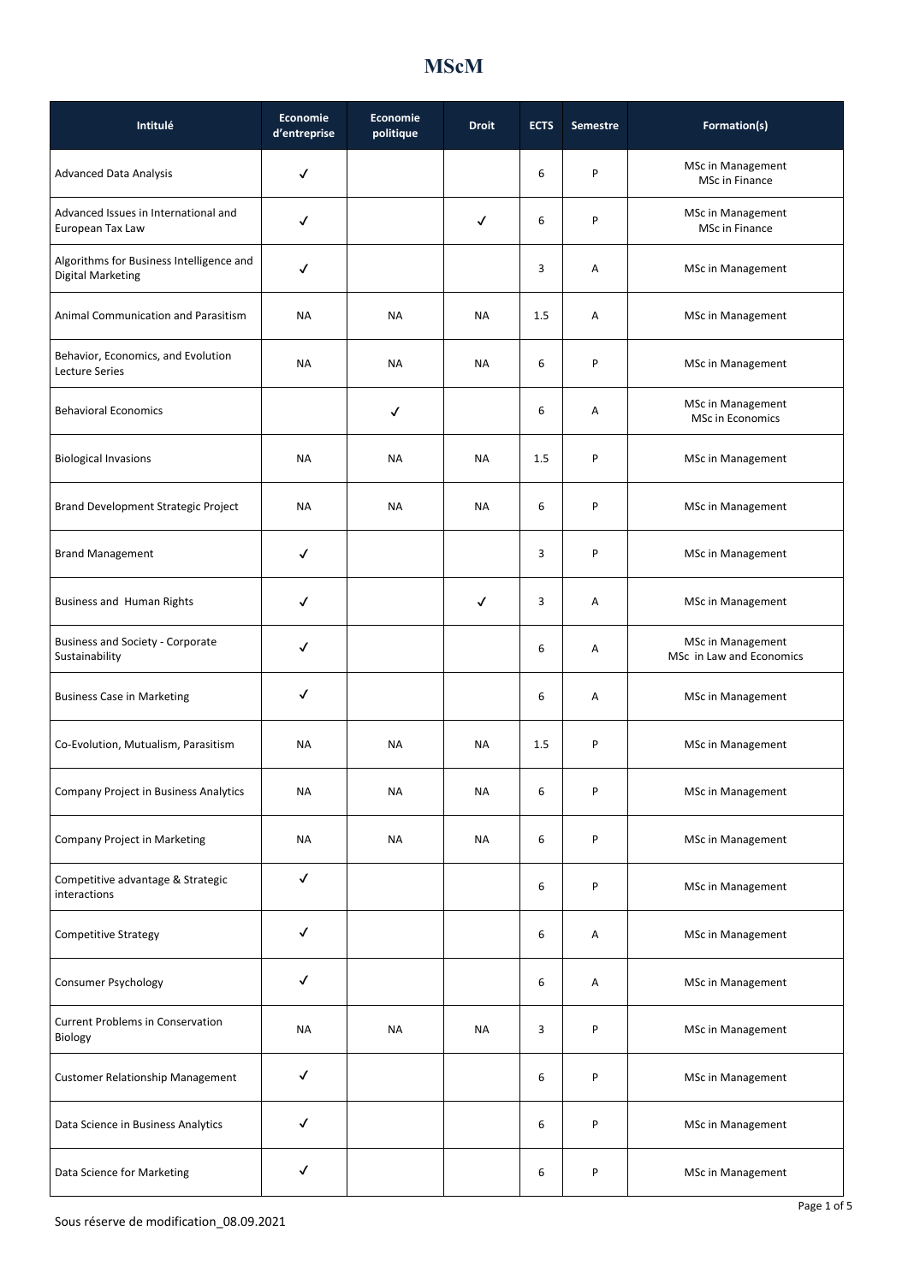| Intitulé                                                             | <b>Economie</b><br>d'entreprise | <b>Economie</b><br>politique | <b>Droit</b> | <b>ECTS</b> | Semestre | Formation(s)                                         |
|----------------------------------------------------------------------|---------------------------------|------------------------------|--------------|-------------|----------|------------------------------------------------------|
| <b>Advanced Data Analysis</b>                                        | ✓                               |                              |              | 6           | P        | MSc in Management<br>MSc in Finance                  |
| Advanced Issues in International and<br>European Tax Law             | ✓                               |                              | $\checkmark$ | 6           | P        | <b>MSc in Management</b><br>MSc in Finance           |
| Algorithms for Business Intelligence and<br><b>Digital Marketing</b> | ✓                               |                              |              | 3           | Α        | <b>MSc in Management</b>                             |
| <b>Animal Communication and Parasitism</b>                           | <b>NA</b>                       | NA                           | NA           | 1.5         | Α        | <b>MSc in Management</b>                             |
| Behavior, Economics, and Evolution<br>Lecture Series                 | NA                              | <b>NA</b>                    | <b>NA</b>    | 6           | P        | MSc in Management                                    |
| <b>Behavioral Economics</b>                                          |                                 | ✓                            |              | 6           | Α        | <b>MSc in Management</b><br><b>MSc in Economics</b>  |
| <b>Biological Invasions</b>                                          | <b>NA</b>                       | <b>NA</b>                    | <b>NA</b>    | 1.5         | P        | <b>MSc in Management</b>                             |
| Brand Development Strategic Project                                  | <b>NA</b>                       | <b>NA</b>                    | <b>NA</b>    | 6           | P        | <b>MSc in Management</b>                             |
| <b>Brand Management</b>                                              | ✓                               |                              |              | 3           | P        | MSc in Management                                    |
| Business and Human Rights                                            | ✓                               |                              | $\checkmark$ | 3           | Α        | <b>MSc in Management</b>                             |
| <b>Business and Society - Corporate</b><br>Sustainability            | ✓                               |                              |              | 6           | Α        | <b>MSc in Management</b><br>MSc in Law and Economics |
| <b>Business Case in Marketing</b>                                    | ✓                               |                              |              | 6           | Α        | MSc in Management                                    |
| Co-Evolution, Mutualism, Parasitism                                  | <b>NA</b>                       | <b>NA</b>                    | <b>NA</b>    | 1.5         | P        | <b>MSc in Management</b>                             |
| Company Project in Business Analytics                                | ΝA                              | ΝA                           | ΝA           | 6           | P        | <b>MSc in Management</b>                             |
| Company Project in Marketing                                         | NA                              | <b>NA</b>                    | NA           | 6           | P        | <b>MSc in Management</b>                             |
| Competitive advantage & Strategic<br>interactions                    | $\checkmark$                    |                              |              | 6           | P        | <b>MSc in Management</b>                             |
| <b>Competitive Strategy</b>                                          | $\checkmark$                    |                              |              | 6           | Α        | MSc in Management                                    |
| Consumer Psychology                                                  | ✓                               |                              |              | 6           | Α        | MSc in Management                                    |
| <b>Current Problems in Conservation</b><br>Biology                   | <b>NA</b>                       | <b>NA</b>                    | <b>NA</b>    | 3           | P        | <b>MSc in Management</b>                             |
| <b>Customer Relationship Management</b>                              | ✓                               |                              |              | 6           | P        | MSc in Management                                    |
| Data Science in Business Analytics                                   | $\checkmark$                    |                              |              | 6           | P        | MSc in Management                                    |
| Data Science for Marketing                                           | $\checkmark$                    |                              |              | 6           | P        | <b>MSc in Management</b>                             |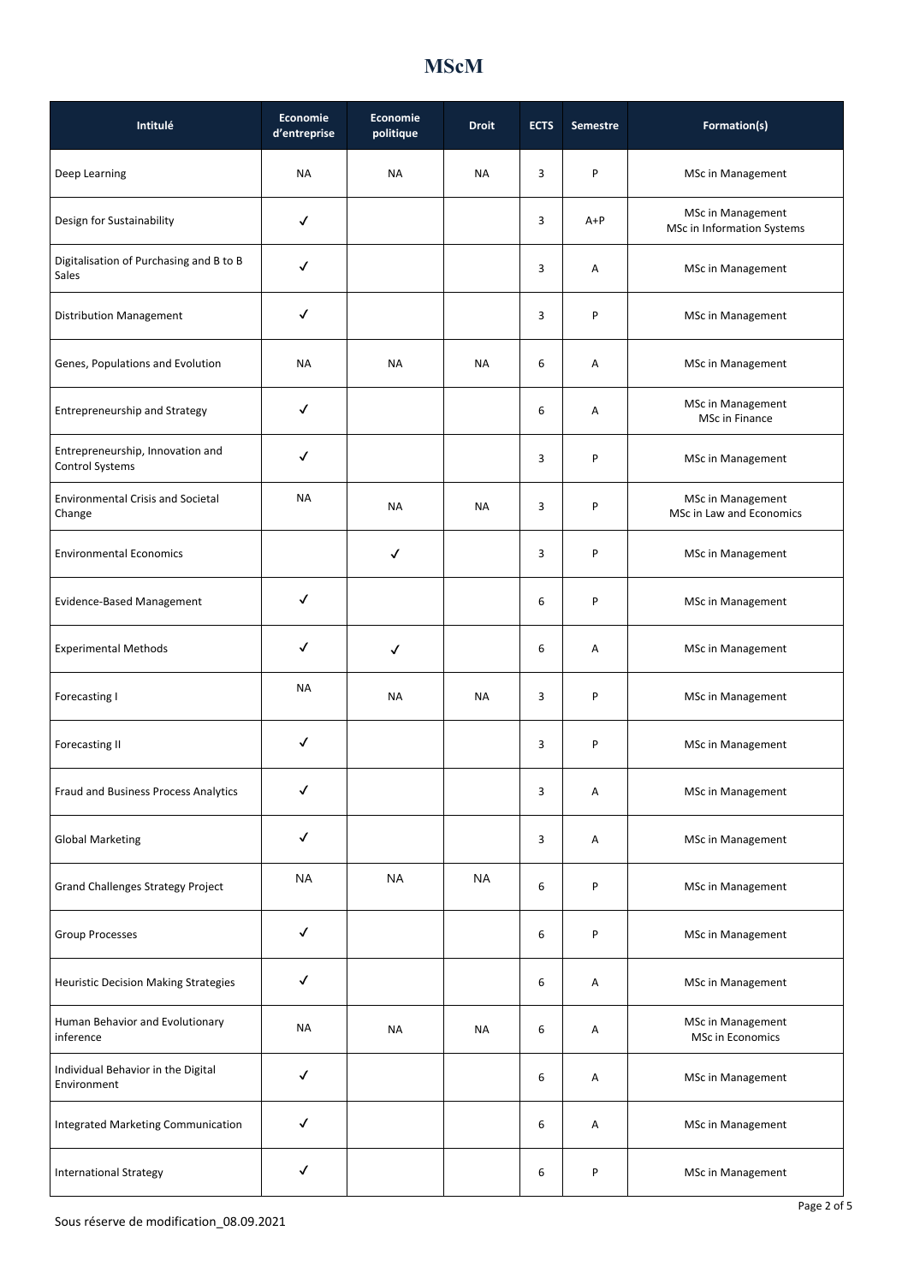| Intitulé                                                   | Economie<br>d'entreprise | Economie<br>politique | <b>Droit</b> | <b>ECTS</b> | <b>Semestre</b> | Formation(s)                                         |
|------------------------------------------------------------|--------------------------|-----------------------|--------------|-------------|-----------------|------------------------------------------------------|
| Deep Learning                                              | NA                       | <b>NA</b>             | <b>NA</b>    | 3           | P               | <b>MSc in Management</b>                             |
| Design for Sustainability                                  | $\checkmark$             |                       |              | 3           | $A+P$           | MSc in Management<br>MSc in Information Systems      |
| Digitalisation of Purchasing and B to B<br>Sales           | √                        |                       |              | 3           | Α               | MSc in Management                                    |
| <b>Distribution Management</b>                             | √                        |                       |              | 3           | P               | MSc in Management                                    |
| Genes, Populations and Evolution                           | <b>NA</b>                | <b>NA</b>             | <b>NA</b>    | 6           | Α               | <b>MSc in Management</b>                             |
| <b>Entrepreneurship and Strategy</b>                       | ✓                        |                       |              | 6           | Α               | MSc in Management<br>MSc in Finance                  |
| Entrepreneurship, Innovation and<br><b>Control Systems</b> | ✓                        |                       |              | 3           | P               | <b>MSc in Management</b>                             |
| <b>Environmental Crisis and Societal</b><br>Change         | <b>NA</b>                | <b>NA</b>             | <b>NA</b>    | 3           | P               | <b>MSc in Management</b><br>MSc in Law and Economics |
| <b>Environmental Economics</b>                             |                          | $\checkmark$          |              | 3           | P               | MSc in Management                                    |
| Evidence-Based Management                                  | ✓                        |                       |              | 6           | P               | MSc in Management                                    |
| <b>Experimental Methods</b>                                | ✓                        | $\checkmark$          |              | 6           | Α               | <b>MSc in Management</b>                             |
| Forecasting I                                              | <b>NA</b>                | <b>NA</b>             | <b>NA</b>    | 3           | P               | <b>MSc in Management</b>                             |
| <b>Forecasting II</b>                                      | ✓                        |                       |              | 3           | P               | MSc in Management                                    |
| Fraud and Business Process Analytics                       | $\checkmark$             |                       |              | 3           | Α               | MSc in Management                                    |
| <b>Global Marketing</b>                                    | √                        |                       |              | 3           | Α               | <b>MSc in Management</b>                             |
| <b>Grand Challenges Strategy Project</b>                   | <b>NA</b>                | <b>NA</b>             | <b>NA</b>    | 6           | P               | MSc in Management                                    |
| <b>Group Processes</b>                                     | $\checkmark$             |                       |              | 6           | P               | MSc in Management                                    |
| Heuristic Decision Making Strategies                       | $\checkmark$             |                       |              | 6           | Α               | MSc in Management                                    |
| Human Behavior and Evolutionary<br>inference               | <b>NA</b>                | <b>NA</b>             | <b>NA</b>    | 6           | Α               | <b>MSc in Management</b><br>MSc in Economics         |
| Individual Behavior in the Digital<br>Environment          | √                        |                       |              | 6           | Α               | MSc in Management                                    |
| Integrated Marketing Communication                         | $\checkmark$             |                       |              | 6           | Α               | <b>MSc in Management</b>                             |
| <b>International Strategy</b>                              | ✓                        |                       |              | 6           | P               | MSc in Management                                    |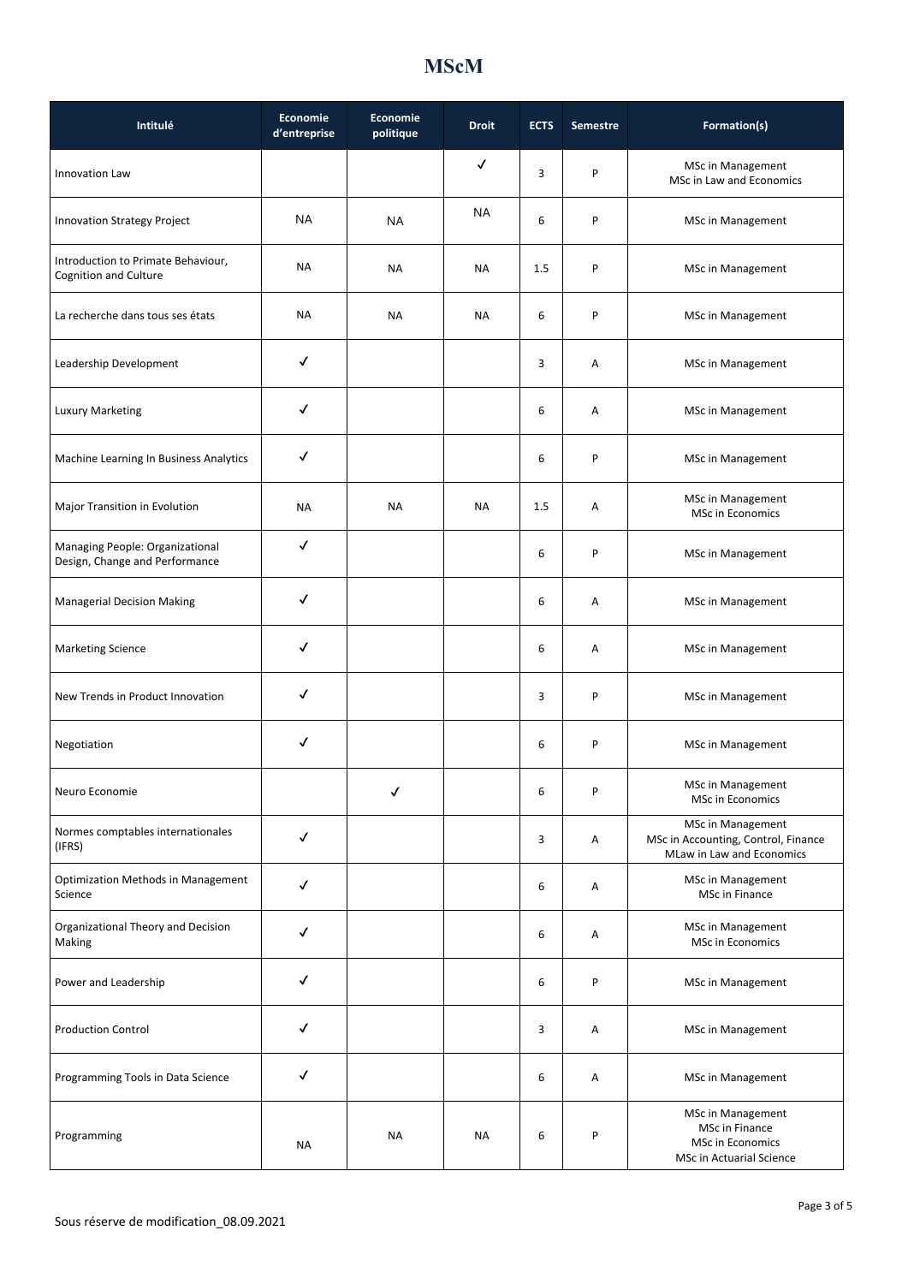| Intitulé                                                          | Economie<br>d'entreprise | Economie<br>politique | <b>Droit</b> | <b>ECTS</b> | <b>Semestre</b> | Formation(s)                                                                               |
|-------------------------------------------------------------------|--------------------------|-----------------------|--------------|-------------|-----------------|--------------------------------------------------------------------------------------------|
| Innovation Law                                                    |                          |                       | √            | 3           | P               | MSc in Management<br>MSc in Law and Economics                                              |
| <b>Innovation Strategy Project</b>                                | <b>NA</b>                | NA                    | NA           | 6           | P               | MSc in Management                                                                          |
| Introduction to Primate Behaviour,<br>Cognition and Culture       | NА                       | NA                    | <b>NA</b>    | 1.5         | P               | MSc in Management                                                                          |
| La recherche dans tous ses états                                  | <b>NA</b>                | NA                    | <b>NA</b>    | 6           | P               | <b>MSc in Management</b>                                                                   |
| Leadership Development                                            | ✓                        |                       |              | 3           | Α               | MSc in Management                                                                          |
| <b>Luxury Marketing</b>                                           | ✓                        |                       |              | 6           | Α               | <b>MSc in Management</b>                                                                   |
| Machine Learning In Business Analytics                            | √                        |                       |              | 6           | P               | MSc in Management                                                                          |
| Major Transition in Evolution                                     | <b>NA</b>                | <b>NA</b>             | <b>NA</b>    | 1.5         | Α               | <b>MSc in Management</b><br><b>MSc in Economics</b>                                        |
| Managing People: Organizational<br>Design, Change and Performance | √                        |                       |              | 6           | P               | MSc in Management                                                                          |
| <b>Managerial Decision Making</b>                                 | √                        |                       |              | 6           | Α               | MSc in Management                                                                          |
| <b>Marketing Science</b>                                          | ✓                        |                       |              | 6           | Α               | MSc in Management                                                                          |
| New Trends in Product Innovation                                  | √                        |                       |              | 3           | P               | MSc in Management                                                                          |
| Negotiation                                                       | ✓                        |                       |              | 6           | P               | MSc in Management                                                                          |
| Neuro Economie                                                    |                          | ✓                     |              | 6           | P               | MSc in Management<br>MSc in Economics                                                      |
| Normes comptables internationales<br>(IFRS)                       | ✓                        |                       |              | 3           | Α               | MSc in Management<br>MSc in Accounting, Control, Finance<br>MLaw in Law and Economics      |
| <b>Optimization Methods in Management</b><br>Science              | $\checkmark$             |                       |              | 6           | Α               | MSc in Management<br>MSc in Finance                                                        |
| Organizational Theory and Decision<br>Making                      | ✓                        |                       |              | 6           | Α               | MSc in Management<br>MSc in Economics                                                      |
| Power and Leadership                                              | $\checkmark$             |                       |              | 6           | P               | MSc in Management                                                                          |
| <b>Production Control</b>                                         | $\checkmark$             |                       |              | 3           | Α               | MSc in Management                                                                          |
| Programming Tools in Data Science                                 | √                        |                       |              | 6           | Α               | MSc in Management                                                                          |
| Programming                                                       | <b>NA</b>                | <b>NA</b>             | <b>NA</b>    | 6           | P               | MSc in Management<br>MSc in Finance<br><b>MSc in Economics</b><br>MSc in Actuarial Science |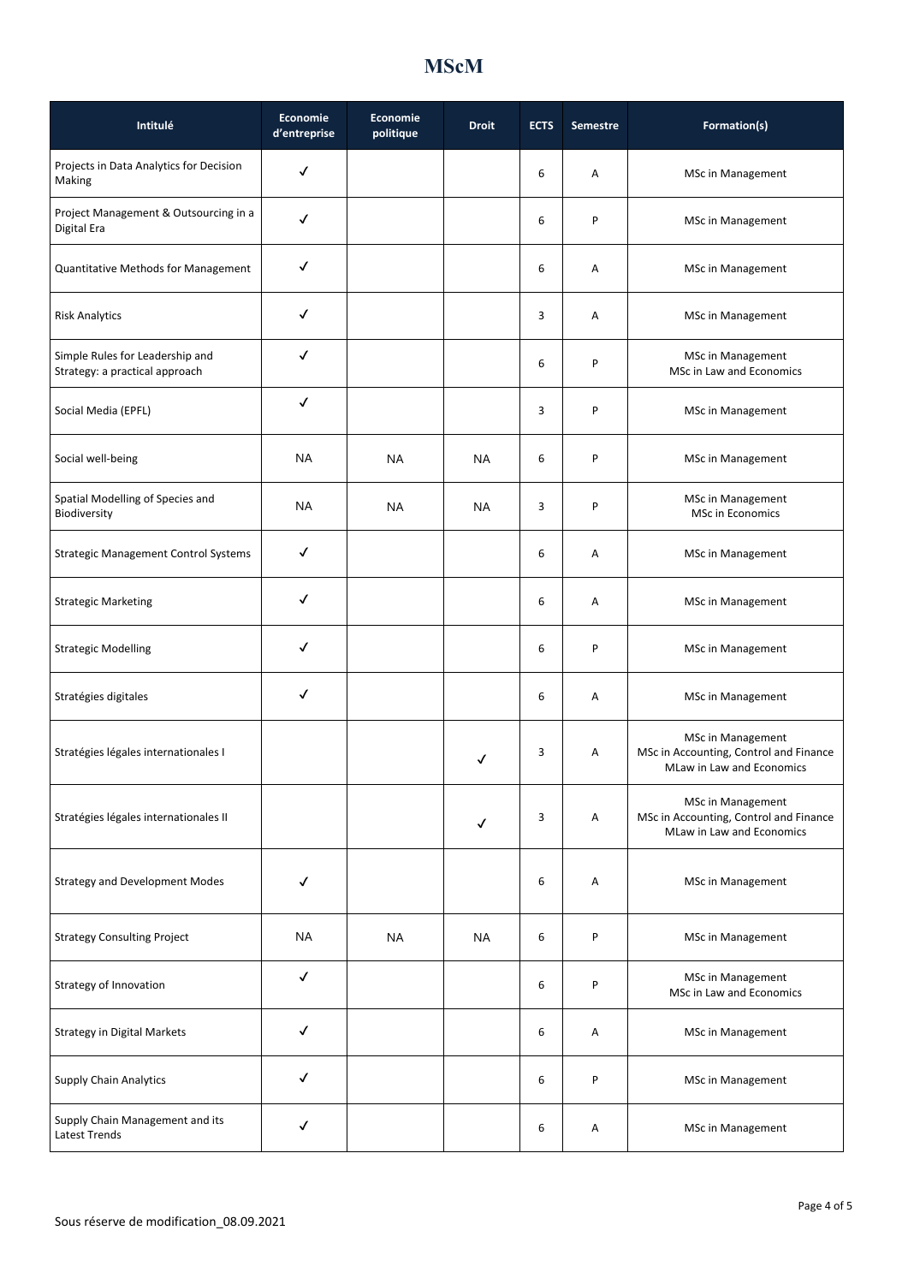| Intitulé                                                          | <b>Economie</b><br>d'entreprise | Economie<br>politique | <b>Droit</b> | <b>ECTS</b> | <b>Semestre</b> | Formation(s)                                                                                    |
|-------------------------------------------------------------------|---------------------------------|-----------------------|--------------|-------------|-----------------|-------------------------------------------------------------------------------------------------|
| Projects in Data Analytics for Decision<br>Making                 | ✓                               |                       |              | 6           | Α               | <b>MSc in Management</b>                                                                        |
| Project Management & Outsourcing in a<br>Digital Era              | ✓                               |                       |              | 6           | P               | MSc in Management                                                                               |
| <b>Quantitative Methods for Management</b>                        | ✓                               |                       |              | 6           | Α               | MSc in Management                                                                               |
| <b>Risk Analytics</b>                                             | ✓                               |                       |              | 3           | Α               | MSc in Management                                                                               |
| Simple Rules for Leadership and<br>Strategy: a practical approach | √                               |                       |              | 6           | P               | MSc in Management<br>MSc in Law and Economics                                                   |
| Social Media (EPFL)                                               | √                               |                       |              | 3           | P               | <b>MSc in Management</b>                                                                        |
| Social well-being                                                 | <b>NA</b>                       | <b>NA</b>             | NA           | 6           | P               | <b>MSc in Management</b>                                                                        |
| Spatial Modelling of Species and<br>Biodiversity                  | <b>NA</b>                       | NA                    | NA           | 3           | P               | MSc in Management<br>MSc in Economics                                                           |
| <b>Strategic Management Control Systems</b>                       | ✓                               |                       |              | 6           | Α               | MSc in Management                                                                               |
| <b>Strategic Marketing</b>                                        | $\checkmark$                    |                       |              | 6           | Α               | <b>MSc in Management</b>                                                                        |
| <b>Strategic Modelling</b>                                        | ✓                               |                       |              | 6           | P               | <b>MSc in Management</b>                                                                        |
| Stratégies digitales                                              | ✓                               |                       |              | 6           | Α               | <b>MSc in Management</b>                                                                        |
| Stratégies légales internationales I                              |                                 |                       | $\checkmark$ | 3           | Α               | <b>MSc in Management</b><br>MSc in Accounting, Control and Finance<br>MLaw in Law and Economics |
| Stratégies légales internationales II                             |                                 |                       | √            | 3           | Α               | <b>MSc in Management</b><br>MSc in Accounting, Control and Finance<br>MLaw in Law and Economics |
| <b>Strategy and Development Modes</b>                             | ✓                               |                       |              | 6           | Α               | <b>MSc in Management</b>                                                                        |
| <b>Strategy Consulting Project</b>                                | NA                              | <b>NA</b>             | NA           | 6           | P               | <b>MSc in Management</b>                                                                        |
| Strategy of Innovation                                            | √                               |                       |              | 6           | P               | MSc in Management<br>MSc in Law and Economics                                                   |
| <b>Strategy in Digital Markets</b>                                | ✓                               |                       |              | 6           | Α               | MSc in Management                                                                               |
| <b>Supply Chain Analytics</b>                                     | ✓                               |                       |              | 6           | P               | MSc in Management                                                                               |
| Supply Chain Management and its<br>Latest Trends                  | ✓                               |                       |              | 6           | Α               | MSc in Management                                                                               |